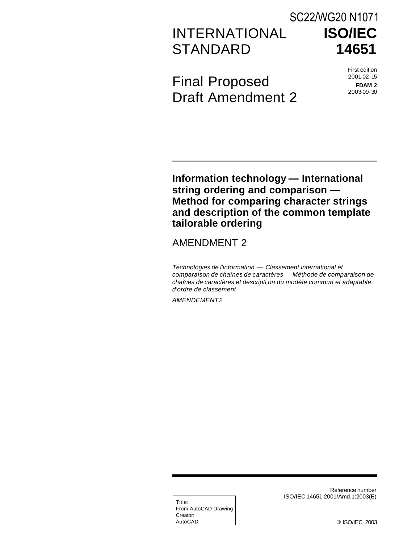# INTERNATIONAL **STANDARD** SC22/WG20 N1071

**ISO/IEC 14651**

Final Proposed Draft Amendment 2 First edition 2001-02-15

**FDAM 2** 2003-09-30

**Information technology — International string ordering and comparison — Method for comparing character strings and description of the common template tailorable ordering**

# AMENDMENT 2

*Technologies de l'information — Classement international et comparaison de chaînes de caractères — Méthode de comparaison de chaînes de caractères et descripti on du modèle commun et adaptable d'ordre de classement*

*AMENDEMENT2*

Title: From AutoCAD Drawing Creator: AutoCAD

Reference number ISO/IEC 14651:2001/Amd.1:2003(E)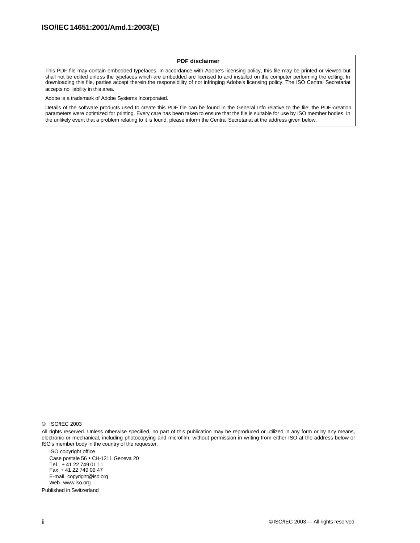#### **PDF disclaimer**

This PDF file may contain embedded typefaces. In accordance with Adobe's licensing policy, this file may be printed or viewed but shall not be edited unless the typefaces which are embedded are licensed to and installed on the computer performing the editing. In downloading this file, parties accept therein the responsibility of not infringing Adobe's licensing policy. The ISO Central Secretariat accepts no liability in this area.

Adobe is a trademark of Adobe Systems Incorporated.

Details of the software products used to create this PDF file can be found in the General Info relative to the file; the PDF-creation parameters were optimized for printing. Every care has been taken to ensure that the file is suitable for use by ISO member bodies. In the unlikely event that a problem relating to it is found, please inform the Central Secretariat at the address given below.

© ISO/IEC 2003

All rights reserved. Unless otherwise specified, no part of this publication may be reproduced or utilized in any form or by any means, electronic or mechanical, including photocopying and microfilm, without permission in writing from either ISO at the address below or ISO's member body in the country of the requester.

ISO copyright office Case postale 56 • CH-1211 Geneva 20 Tel. + 41 22 749 01 11 Fax + 41 22 749 09 47 E-mail copyright@iso.org Web www.iso.org Published in Switzerland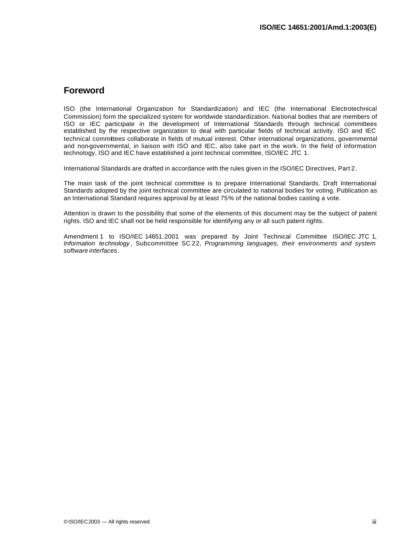#### **Foreword**

ISO (the International Organization for Standardization) and IEC (the International Electrotechnical Commission) form the specialized system for worldwide standardization. National bodies that are members of ISO or IEC participate in the development of International Standards through technical committees established by the respective organization to deal with particular fields of technical activity. ISO and IEC technical committees collaborate in fields of mutual interest. Other international organizations, governmental and non-governmental, in liaison with ISO and IEC, also take part in the work. In the field of information technology, ISO and IEC have established a joint technical committee, ISO/IEC JTC 1.

International Standards are drafted in accordance with the rules given in the ISO/IEC Directives, Part 2.

The main task of the joint technical committee is to prepare International Standards. Draft International Standards adopted by the joint technical committee are circulated to national bodies for voting. Publication as an International Standard requires approval by at least 75% of the national bodies casting a vote.

Attention is drawn to the possibility that some of the elements of this document may be the subject of patent rights. ISO and IEC shall not be held responsible for identifying any or all such patent rights.

Amendment 1 to ISO/IEC 14651:2001 was prepared by Joint Technical Committee ISO/IEC JTC 1, *Information technology* , Subcommittee SC 22, *Programming languages, their environments and system software interfaces*.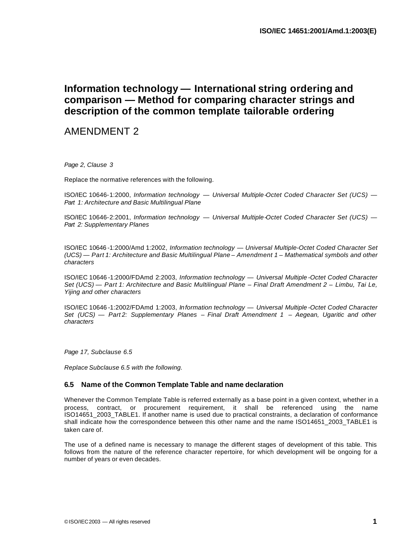# **Information technology — International string ordering and comparison — Method for comparing character strings and description of the common template tailorable ordering**

# AMENDMENT 2

*Page 2, Clause 3*

Replace the normative references with the following.

ISO/IEC 10646-1:2000, *Information technology — Universal Multiple-Octet Coded Character Set (UCS) — Part 1: Architecture and Basic Multilingual Plane*

ISO/IEC 10646-2:2001, *Information technology — Universal Multiple-Octet Coded Character Set (UCS) — Part 2: Supplementary Planes*

ISO/IEC 10646 -1:2000/Amd 1:2002, *Information technology — Universal Multiple-Octet Coded Character Set (UCS) — Part 1: Architecture and Basic Multilingual Plane – Amendment 1 – Mathematical symbols and other characters* 

ISO/IEC 10646 -1:2000/FDAmd 2:2003, *Information technology — Universal Multiple -Octet Coded Character Set (UCS) — Part 1: Architecture and Basic Multilingual Plane – Final Draft Amendment 2 – Limbu, Tai Le, Yijing and other characters*

ISO/IEC 10646 -1:2002/FDAmd 1:2003, *Information technology — Universal Multiple -Octet Coded Character Set (UCS) — Part 2: Supplementary Planes – Final Draft Amendment 1 – Aegean, Ugaritic and other characters*

*Page 17, Subclause 6.5*

*Replace Subclause 6.5 with the following.*

#### **6.5 Name of the Common Template Table and name declaration**

Whenever the Common Template Table is referred externally as a base point in a given context, whether in a process, contract, or procurement requirement, it shall be referenced using the name ISO14651\_2003\_TABLE1. If another name is used due to practical constraints, a declaration of conformance shall indicate how the correspondence between this other name and the name ISO14651\_2003\_TABLE1 is taken care of.

The use of a defined name is necessary to manage the different stages of development of this table. This follows from the nature of the reference character repertoire, for which development will be ongoing for a number of years or even decades.